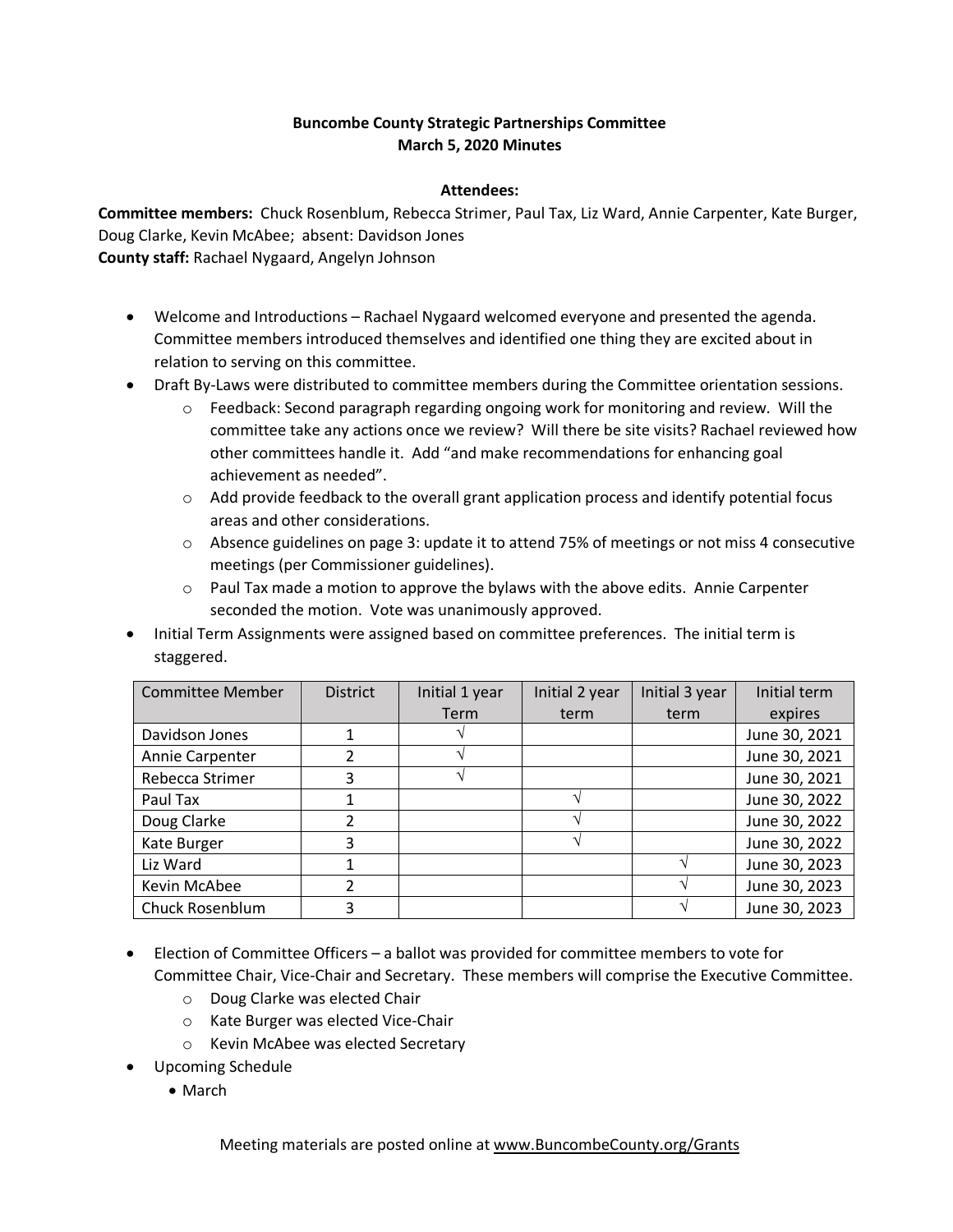## **Buncombe County Strategic Partnerships Committee March 5, 2020 Minutes**

## **Attendees:**

**Committee members:** Chuck Rosenblum, Rebecca Strimer, Paul Tax, Liz Ward, Annie Carpenter, Kate Burger, Doug Clarke, Kevin McAbee; absent: Davidson Jones **County staff:** Rachael Nygaard, Angelyn Johnson

- Welcome and Introductions Rachael Nygaard welcomed everyone and presented the agenda. Committee members introduced themselves and identified one thing they are excited about in relation to serving on this committee.
- Draft By-Laws were distributed to committee members during the Committee orientation sessions.
	- o Feedback: Second paragraph regarding ongoing work for monitoring and review. Will the committee take any actions once we review? Will there be site visits? Rachael reviewed how other committees handle it. Add "and make recommendations for enhancing goal achievement as needed".
	- $\circ$  Add provide feedback to the overall grant application process and identify potential focus areas and other considerations.
	- $\circ$  Absence guidelines on page 3: update it to attend 75% of meetings or not miss 4 consecutive meetings (per Commissioner guidelines).
	- $\circ$  Paul Tax made a motion to approve the bylaws with the above edits. Annie Carpenter seconded the motion. Vote was unanimously approved.
- Initial Term Assignments were assigned based on committee preferences. The initial term is staggered.

| <b>Committee Member</b> | <b>District</b> | Initial 1 year | Initial 2 year | Initial 3 year | Initial term  |
|-------------------------|-----------------|----------------|----------------|----------------|---------------|
|                         |                 | <b>Term</b>    | term           | term           | expires       |
| Davidson Jones          |                 |                |                |                | June 30, 2021 |
| Annie Carpenter         |                 |                |                |                | June 30, 2021 |
| Rebecca Strimer         | 3               |                |                |                | June 30, 2021 |
| Paul Tax                |                 |                |                |                | June 30, 2022 |
| Doug Clarke             | 2               |                |                |                | June 30, 2022 |
| Kate Burger             | 3               |                |                |                | June 30, 2022 |
| Liz Ward                |                 |                |                |                | June 30, 2023 |
| Kevin McAbee            |                 |                |                |                | June 30, 2023 |
| Chuck Rosenblum         | 3               |                |                |                | June 30, 2023 |

- Election of Committee Officers a ballot was provided for committee members to vote for Committee Chair, Vice-Chair and Secretary. These members will comprise the Executive Committee.
	- o Doug Clarke was elected Chair
	- o Kate Burger was elected Vice-Chair
	- o Kevin McAbee was elected Secretary
- Upcoming Schedule
	- March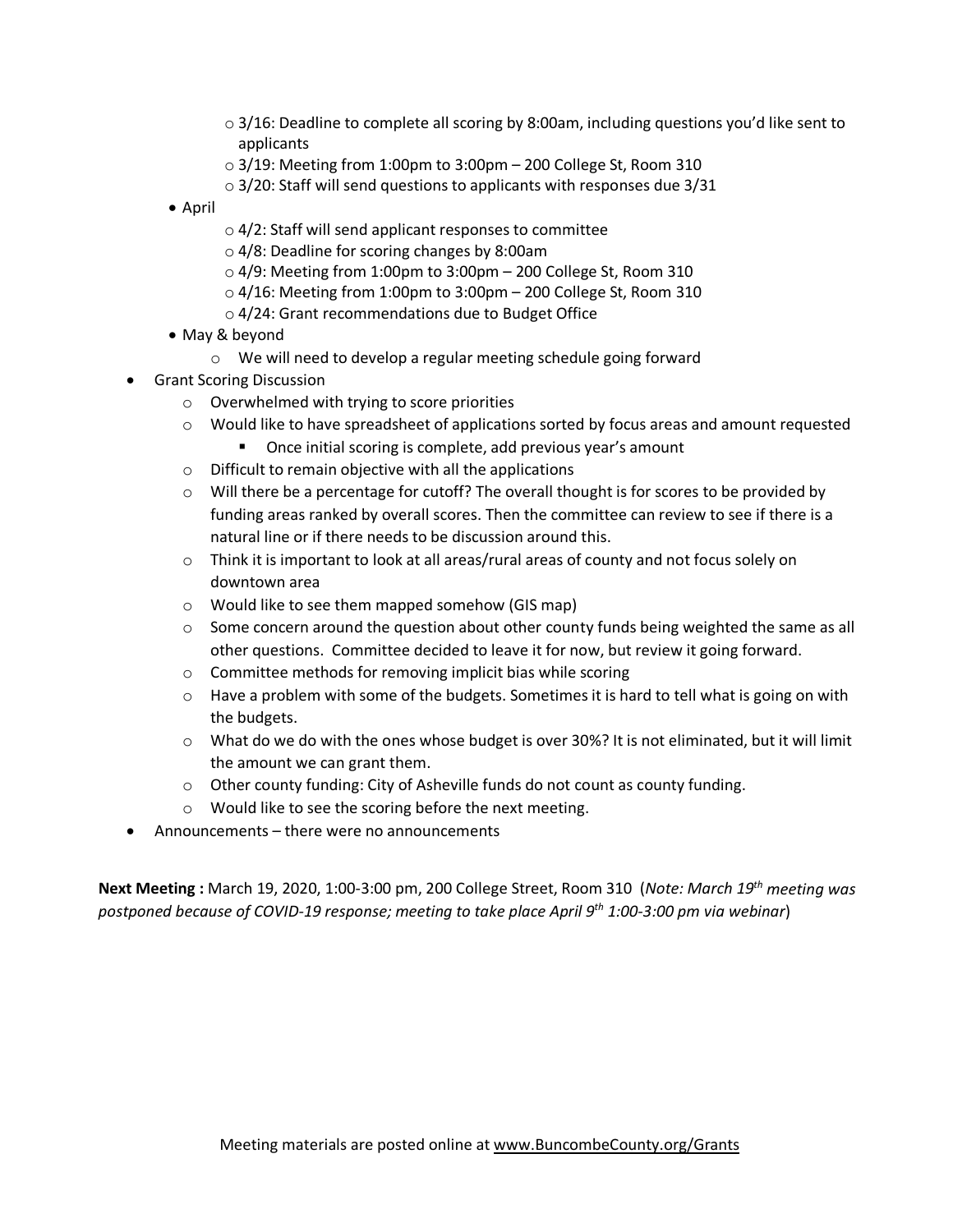- $\circ$  3/16: Deadline to complete all scoring by 8:00am, including questions you'd like sent to applicants
- $\circ$  3/19: Meeting from 1:00pm to 3:00pm 200 College St, Room 310
- o 3/20: Staff will send questions to applicants with responses due 3/31
- April
- o 4/2: Staff will send applicant responses to committee
- o 4/8: Deadline for scoring changes by 8:00am
- $\circ$  4/9: Meeting from 1:00pm to 3:00pm 200 College St, Room 310
- $\circ$  4/16: Meeting from 1:00pm to 3:00pm 200 College St, Room 310
- o 4/24: Grant recommendations due to Budget Office
- May & beyond
	- o We will need to develop a regular meeting schedule going forward
- Grant Scoring Discussion
	- o Overwhelmed with trying to score priorities
	- o Would like to have spreadsheet of applications sorted by focus areas and amount requested
		- Once initial scoring is complete, add previous year's amount
	- o Difficult to remain objective with all the applications
	- $\circ$  Will there be a percentage for cutoff? The overall thought is for scores to be provided by funding areas ranked by overall scores. Then the committee can review to see if there is a natural line or if there needs to be discussion around this.
	- o Think it is important to look at all areas/rural areas of county and not focus solely on downtown area
	- o Would like to see them mapped somehow (GIS map)
	- $\circ$  Some concern around the question about other county funds being weighted the same as all other questions. Committee decided to leave it for now, but review it going forward.
	- o Committee methods for removing implicit bias while scoring
	- $\circ$  Have a problem with some of the budgets. Sometimes it is hard to tell what is going on with the budgets.
	- o What do we do with the ones whose budget is over 30%? It is not eliminated, but it will limit the amount we can grant them.
	- o Other county funding: City of Asheville funds do not count as county funding.
	- o Would like to see the scoring before the next meeting.
- Announcements there were no announcements

**Next Meeting :** March 19, 2020, 1:00-3:00 pm, 200 College Street, Room 310 (*Note: March 19th meeting was postponed because of COVID-19 response; meeting to take place April 9th 1:00-3:00 pm via webinar*)